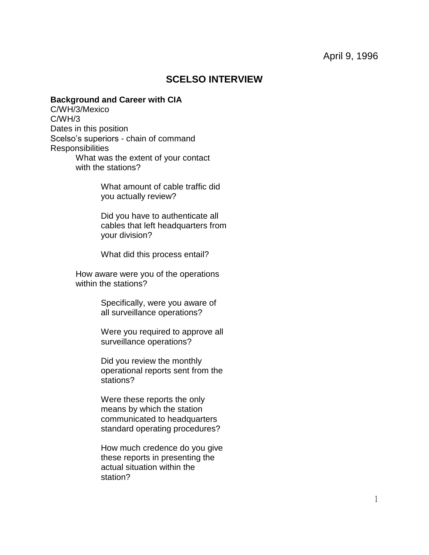# **SCELSO INTERVIEW**

## **Background and Career with CIA**

C/WH/3/Mexico C/WH/3 Dates in this position Scelso's superiors - chain of command **Responsibilities** What was the extent of your contact with the stations?

> What amount of cable traffic did you actually review?

Did you have to authenticate all cables that left headquarters from your division?

What did this process entail?

How aware were you of the operations within the stations?

> Specifically, were you aware of all surveillance operations?

Were you required to approve all surveillance operations?

Did you review the monthly operational reports sent from the stations?

Were these reports the only means by which the station communicated to headquarters standard operating procedures?

How much credence do you give these reports in presenting the actual situation within the station?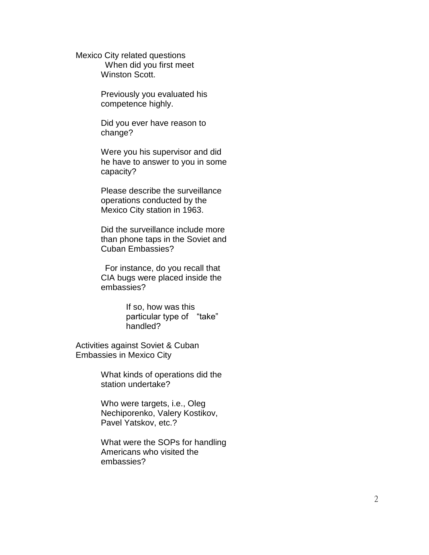Mexico City related questions When did you first meet Winston Scott.

> Previously you evaluated his competence highly.

> Did you ever have reason to change?

Were you his supervisor and did he have to answer to you in some capacity?

Please describe the surveillance operations conducted by the Mexico City station in 1963.

Did the surveillance include more than phone taps in the Soviet and Cuban Embassies?

For instance, do you recall that CIA bugs were placed inside the embassies?

> If so, how was this particular type of "take" handled?

Activities against Soviet & Cuban Embassies in Mexico City

> What kinds of operations did the station undertake?

Who were targets, i.e., Oleg Nechiporenko, Valery Kostikov, Pavel Yatskov, etc.?

What were the SOPs for handling Americans who visited the embassies?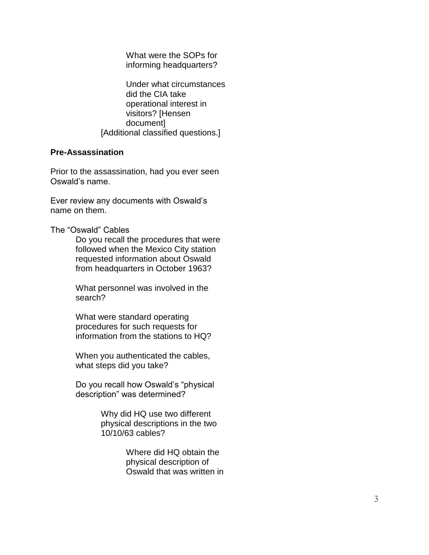What were the SOPs for informing headquarters?

Under what circumstances did the CIA take operational interest in visitors? [Hensen document] [Additional classified questions.]

# **Pre -Assassination**

Prior to the assassination, had you ever seen Oswald's name.

Ever review any documents with Oswald's name on them.

The "Oswald" Cables

Do you recall the procedures that were followed when the Mexico City station requested information about Oswald from headquarters in October 1963?

What personnel was involved in the search?

What were standard operating procedures for such requests for information from the stations to HQ?

When you authenticated the cables, what steps did you take?

Do you recall how Oswald's "physical description" was determined?

> Why did HQ use two different physical descriptions in the two 10/10/63 cables?

> > Where did HQ obtain the physical description of Oswald that was written in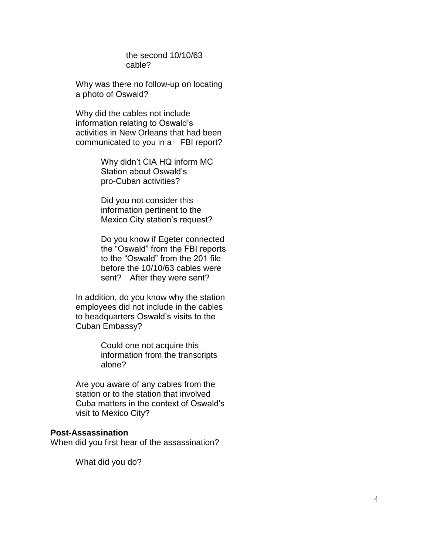the second 10/10/63 cable?

Why was there no follow -up on locating a photo of Oswald?

Why did the cables not include information relating to Oswald's activities in New Orleans that had been communicated to you in a FBI report?

> Why didn't CIA HQ inform MC Station about Oswald's pro -Cuban activities?

> Did you not consider this information pertinent to the Mexico City station's request?

Do you know if Egeter connected the "Oswald" from the FBI reports to the "Oswald" from the 201 file before the 10/10/63 cables were sent? After they were sent?

In addition, do you know why the station employees did not include in the cables to headquarters Oswald's visits to the Cuban Embassy?

> Could one not acquire this information from the transcripts alone?

Are you aware of any cables from the station or to the station that involved Cuba matters in the context of Oswald's visit to Mexico City?

#### **Post -Assassination**

When did you first hear of the assassination?

What did you do?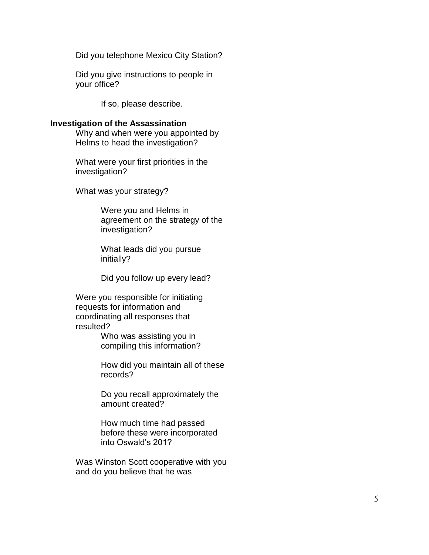Did you telephone Mexico City Station?

Did you give instructions to people in your office?

If so, please describe.

## **Investigation of the Assassination**

Why and when were you appointed by Helms to head the investigation?

What were your first priorities in the investigation?

What was your strategy?

Were you and Helms in agreement on the strategy of the investigation?

What leads did you pursue initially?

Did you follow up every lead?

Were you responsible for initiating requests for information and coordinating all responses that resulted?

> Who was assisting you in compiling this information?

How did you maintain all of these records?

Do you recall approximately the amount created?

How much time had passed before these were incorporated into Oswald's 201?

Was Winston Scott cooperative with you and do you believe that he was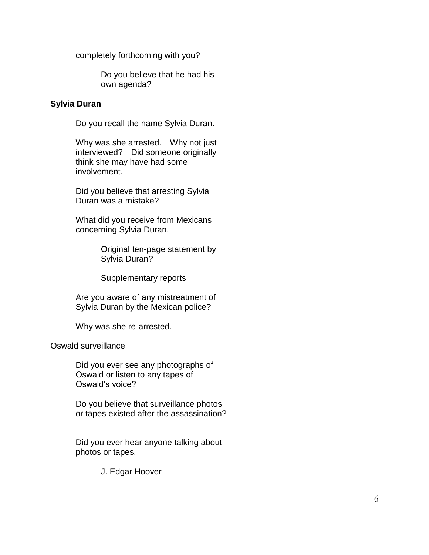completely forthcoming with you?

Do you believe that he had his own agenda?

# **Sylvia Duran**

Do you recall the name Sylvia Duran.

Why was she arrested. Why not just interviewed? Did someone originally think she may have had some involvement.

Did you believe that arresting Sylvia Duran was a mistake?

What did you receive from Mexicans concerning Sylvia Duran.

> Original ten-page statement by Sylvia Duran?

Supplementary reports

Are you aware of any mistreatment of Sylvia Duran by the Mexican police?

Why was she re-arrested.

Oswald surveillance

Did you ever see any photographs of Oswald or listen to any tapes of Oswald's voice?

Do you believe that surveillance photos or tapes existed after the assassination?

Did you ever hear anyone talking about photos or tapes.

J. Edgar Hoover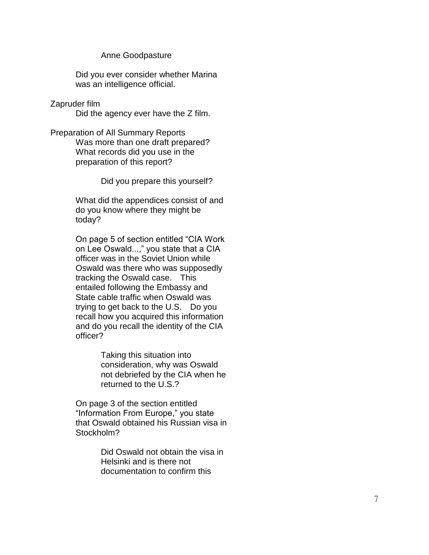### Anne Goodpasture

Did you ever consider whether Marina was an intelligence official.

Zapruder film

Did the agency ever have the Z film.

Preparation of All Summary Reports Was more than one draft prepared? What records did you use in the preparation of this report?

Did you prepare this yourself?

What did the appendices consist of and do you know where they might be today?

On page 5 of section entitled "CIA Work on Lee Oswald...," you state that a CIA officer was in the Soviet Union while Oswald was there who was supposedly tracking the Oswald case. This entailed following the Embassy and State cable traffic when Oswald was trying to get back to the U.S. Do you recall how you acquired this information and do you recall the identity of the CIA officer?

> Taking this situation into consideration, why was Oswald not debriefed by the CIA when he returned to the U.S.?

On page 3 of the section entitled "Information From Europe," you state that Oswald obtained his Russian visa in Stockholm?

> Did Oswald not obtain the visa in Helsinki and is there not documentation to confirm this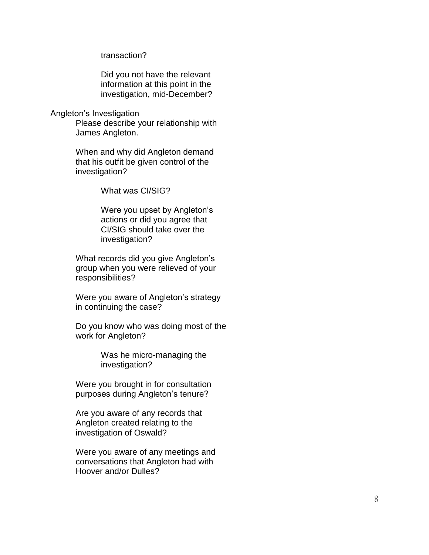transaction?

Did you not have the relevant information at this point in the investigation, mid -December?

#### Angleton's Investigation

Please describe your relationship with James Angleton.

When and why did Angleton demand that his outfit be given control of the investigation?

What was CI/SIG?

Were you upset by Angleton's actions or did you agree that CI/SIG should take over the investigation?

What records did you give Angleton's group when you were relieved of your responsibilities?

Were you aware of Angleton's strategy in continuing the case?

Do you know who was doing most of the work for Angleton?

> Was he micro -managing the investigation?

Were you brought in for consultation purposes during Angleton's tenure?

Are you aware of any records that Angleton created relating to the investigation of Oswald?

Were you aware of any meetings and conversations that Angleton had with Hoover and/or Dulles?